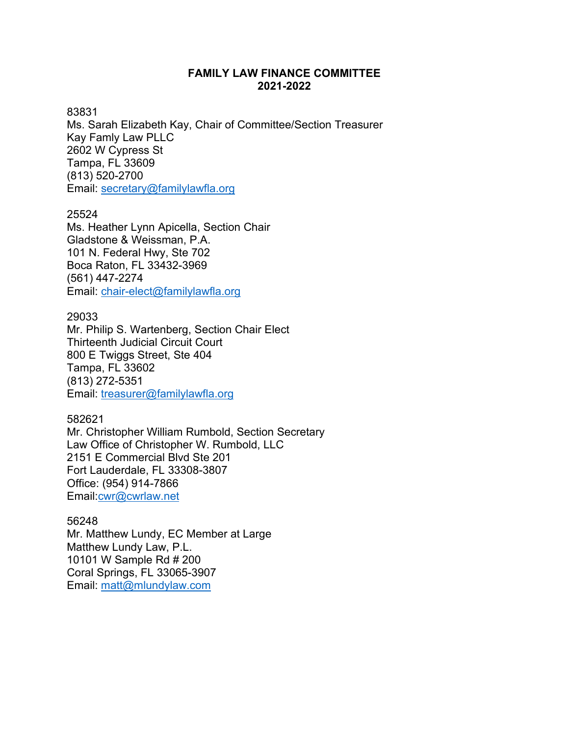# **FAMILY LAW FINANCE COMMITTEE 2021-2022**

## 83831

Ms. Sarah Elizabeth Kay, Chair of Committee/Section Treasurer Kay Famly Law PLLC 2602 W Cypress St Tampa, FL 33609 (813) 520-2700 Email: [secretary@familylawfla.org](mailto:secretary@familylawfla.org)

### 25524

Ms. Heather Lynn Apicella, Section Chair Gladstone & Weissman, P.A. 101 N. Federal Hwy, Ste 702 Boca Raton, FL 33432-3969 (561) 447-2274 Email: [chair-elect@familylawfla.org](mailto:chair-elect@familylawfla.org)

### 29033

Mr. Philip S. Wartenberg, Section Chair Elect Thirteenth Judicial Circuit Court 800 E Twiggs Street, Ste 404 Tampa, FL 33602 (813) 272-5351 Email: [treasurer@familylawfla.org](mailto:treasurer@familylawfla.org)

# 582621

Mr. Christopher William Rumbold, Section Secretary Law Office of Christopher W. Rumbold, LLC 2151 E Commercial Blvd Ste 201 Fort Lauderdale, FL 33308-3807 Office: (954) [914-7866](tel:954-914-7866) Email[:cwr@cwrlaw.net](mailto:cwr@cwrlaw.net)

### 56248

Mr. Matthew Lundy, EC Member at Large Matthew Lundy Law, P.L. 10101 W Sample Rd # 200 Coral Springs, FL 33065-3907 Email: [matt@mlundylaw.com](mailto:matt@mlundylaw.com)